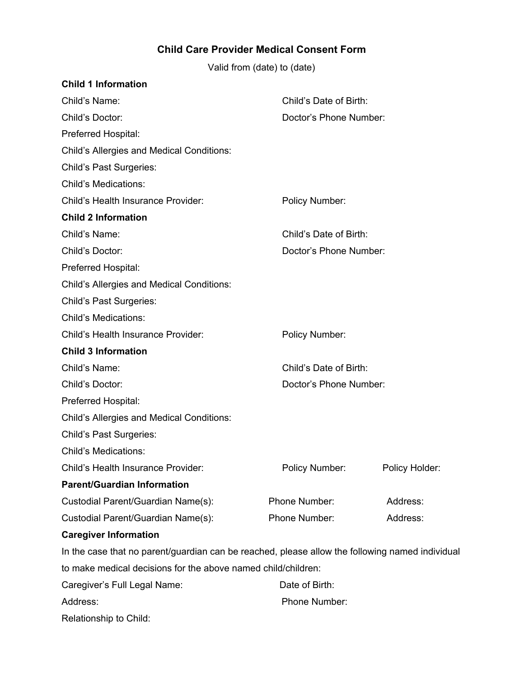**Child Care Provider Medical Consent Form**